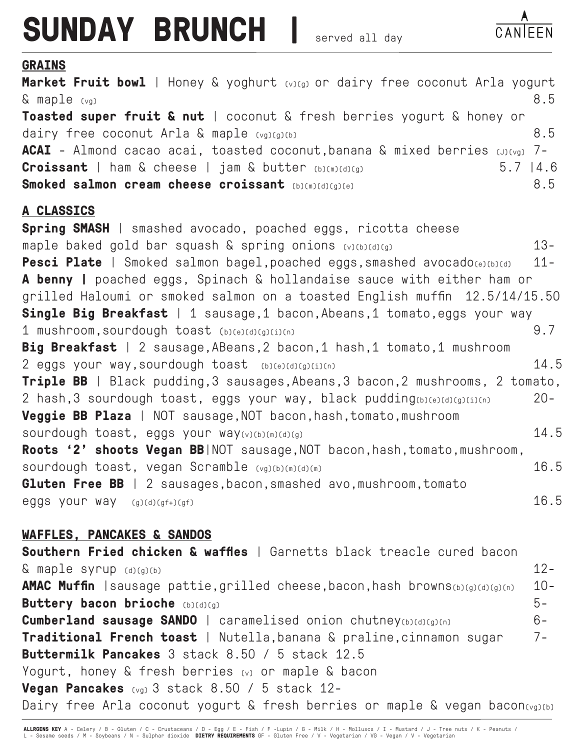## **SUNDAY BRUNCH |**

## **GRAINS**

entitive communication of the communication of the communication of the contract of the contract of the contract of the B.5 and B.5 and B.5 and B.5 and B.6 and B.6 and B.6 and B.6 and B.6 and B.6 and B.6 and B.6 and B.6 an **Market Fruit bowl** | Honey & yoghurt (v)(g) or dairy free coconut Arla yogurt **Toasted super fruit & nut** | coconut & fresh berries yogurt & honey or dairy free coconut Arla & maple (vg)(g)(b) example the state of  $8.5$ **ACAI** - Almond cacao acai, toasted coconut, banana & mixed berries (J)(vg) 7-**Croissant** | ham & cheese | jam & butter (b)(m)(d)(g) 5.7 |4.6 **Smoked salmon cream cheese croissant** (b)(m)(d)(g)(e) 8.5 **A CLASSICS Spring SMASH** | smashed avocado, poached eggs, ricotta cheese maple baked gold bar squash & spring onions (v)(b)(d)(g)13- Pesci Plate | Smoked salmon bagel,poached eggs,smashed avocado(e)(b)(d) 11-**A benny |** poached eggs, Spinach & hollandaise sauce with either ham or grilled Haloumi or smoked salmon on a toasted English muffin 12.5/14/15.50 **Single Big Breakfast** | 1 sausage, 1 bacon, Abeans, 1 tomato, eggs your way 1 mushroom,sourdough toast (b)(e)(d)(g)(i)(n) 9.7 **Big Breakfast** | 2 sausage,ABeans,2 bacon,1 hash,1 tomato,1 mushroom 2 eggs your way,sourdough toast (b)(e)(d)(g)(i)(n) 14.5 **Triple BB** | Black pudding, 3 sausages, Abeans, 3 bacon, 2 mushrooms, 2 tomato, 2 hash,3 sourdough toast, eggs your way, black pudding(b)(e)(d)(g)(i)(n) 20- **Veggie BB Plaza** | NOT sausage, NOT bacon, hash, tomato, mushroom sourdough toast, eggs your way(v)(b)(m)(d)(g) 14.5 Roots '2' shoots Vegan BB|NOT sausage, NOT bacon, hash, tomato, mushroom, sourdough toast, vegan Scramble (vg)(b)(m)(d)(m) 16.5 **Gluten Free BB** | 2 sausages, bacon, smashed avo, mushroom, tomato eggs your way  $(g)(d)(gf+(gf))$  eggs your way  $16.5$ 

## **WAFFLES, PANCAKES & SANDOS**

**Southern Fried chicken & waffles** | Garnetts black treacle cured bacon  $\&$  maple syrup  $_{(d)(q)(b)}$  12-**AMAC Muffin** | sausage pattie, grilled cheese, bacon, hash browns(b)(g)(d)(g)(n) 10-**Buttery bacon brioche** (b)(d)(g) 5-**Cumberland sausage SANDO** | caramelised onion chutney(b)(d)(g)(n) 6-**Traditional French toast** | Nutella,banana & praline,cinnamon sugar 7-**Buttermilk Pancakes** 3 stack 8.50 / 5 stack 12.5 Yogurt, honey & fresh berries (v) or maple & bacon **Vegan Pancakes** (vg) 3 stack 8.50 / 5 stack 12- Dairy free Arla coconut yogurt & fresh berries or maple & vegan bacon(vg)(b)

**ALLRGENS KEY** A - Celery / B - Gluten / C - Crustaceans / D - Egg / E - Fish / F -Lupin / G - Milk / H - Molluscs / I - Mustard / J - Tree nuts / K - Peanuts /<br>L - Sesame seeds / M - Soybeans / N - Sulphar dioxide **DIETRY**